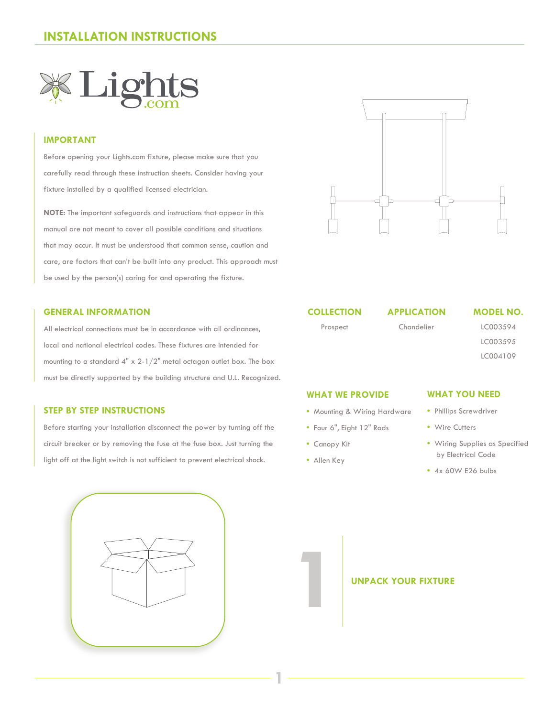## **INSTALLATION INSTRUCTIONS**



### **IMPORTANT**

Before opening your Lights.com fixture, please make sure that you carefully read through these instruction sheets. Consider having your fixture installed by a qualified licensed electrician.

**NOTE:** The important safeguards and instructions that appear in this manual are not meant to cover all possible conditions and situations that may occur. It must be understood that common sense, caution and care, are factors that can't be built into any product. This approach must be used by the person(s) caring for and operating the fixture.

### **GENERAL INFORMATION**

All electrical connections must be in accordance with all ordinances, local and national electrical codes. These fixtures are intended for mounting to a standard 4" x 2-1/2" metal octagon outlet box. The box must be directly supported by the building structure and U.L. Recognized.

### **STEP BY STEP INSTRUCTIONS**

Before starting your installation disconnect the power by turning off the circuit breaker or by removing the fuse at the fuse box. Just turning the light off at the light switch is not sufficient to prevent electrical shock.



### **COLLECTION** Prospect

**APPLICATION** Chandelier

### **MODEL NO.**

LC003594 LC003595 LC004109

- Mounting & Wiring Hardware
- Four 6", Eight 12" Rods
- Canopy Kit
- Allen Key

**1**

### **WHAT YOU NEED**

**•** Phillips Screwdriver

- Wire Cutters
- Wiring Supplies as Specified by Electrical Code
- 4x 60W E26 bulbs

**UNPACK YOUR FIXTURE** 

**WHAT WE PROVIDE**



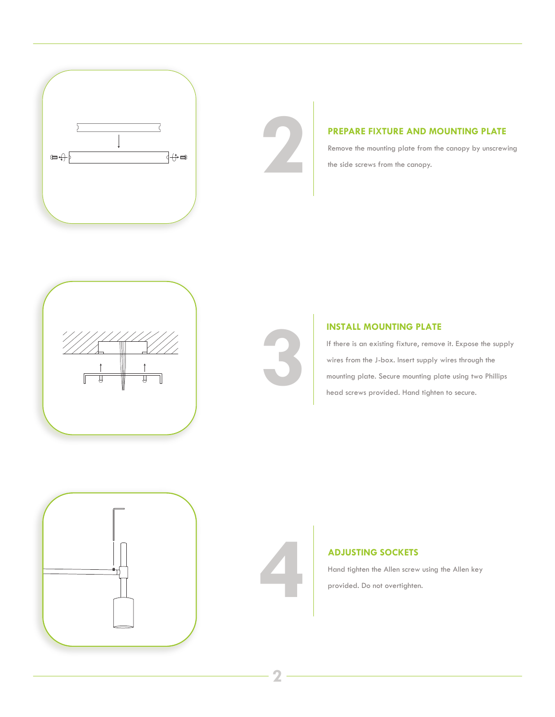

**PREPARE FIXTURE AND MOUNTING PLATE**<br>Remove the mounting plate from the canopy by unscrew<br>the side screws from the canopy. Remove the mounting plate from the canopy by unscrewing the side screws from the canopy.





**INSTALL MOUNTING PLATE**<br>
If there is an existing fixture, remove<br>
wires from the J-box. Insert supply<br>
mounting plate. Secure mounting plate<br>
head screws provided. Hand tighter If there is an existing fixture, remove it. Expose the supply wires from the J-box. Insert supply wires through the mounting plate. Secure mounting plate using two Phillips head screws provided. Hand tighten to secure.





### **ADJUSTING SOCKETS**

Hand tighten the Allen screw using the Allen key provided. Do not overtighten.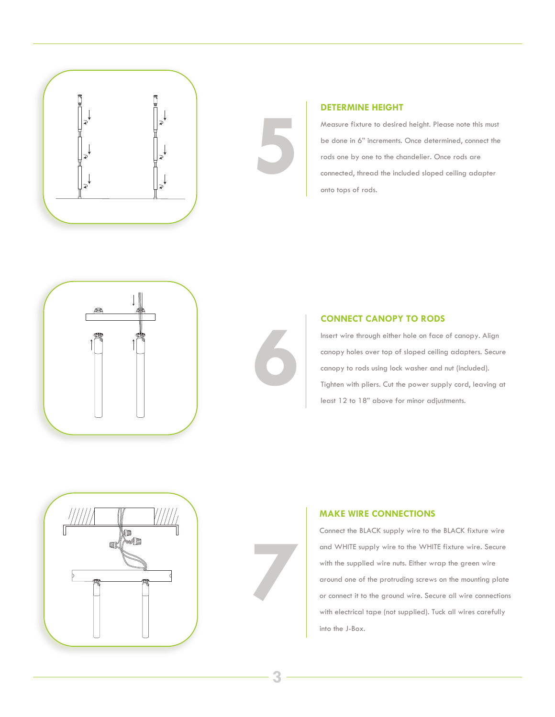



Measure fixture to desired height. Please note this must be done in 6" increments. Once determined, connect the rods one by one to the chandelier. Once rods are connected, thread the included sloped ceiling adapter onto tops of rods.



## **CONNECT CANOPY TO RODS**

Insert wire through either hole on face of canopy. Align canopy holes over top of sloped ceiling adapters. Secure canopy to rods using lock washer and nut (included). **CONNECT CANOPY TO RODS**<br>
Insert wire through either hole on face of canopy. Align<br>
canopy holes over top of sloped ceiling adapters. Secure<br>
canopy to rods using lock washer and nut (included).<br>
Tighten with pliers. Cut t least 12 to 18" above for minor adjustments.



### **MAKE WIRE CONNECTIONS**

Connect the BLACK supply wire to the BLACK fixture wire and WHITE supply wire to the WHITE fixture wire. Secure with the supplied wire nuts. Either wrap the green wire around one of the protruding screws on the mounting plate or connect it to the ground wire. Secure all wire connections with electrical tape (not supplied). Tuck all wires carefully into the J-Box.

**7**

**5**